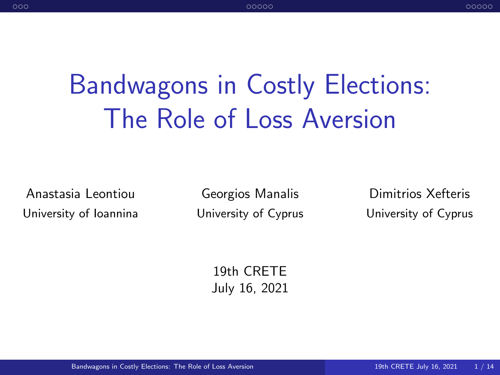# <span id="page-0-0"></span>Bandwagons in Costly Elections: The Role of Loss Aversion

Anastasia Leontiou University of Ioannina

Georgios Manalis University of Cyprus

Dimitrios Xefteris University of Cyprus

19th CRETE July 16, 2021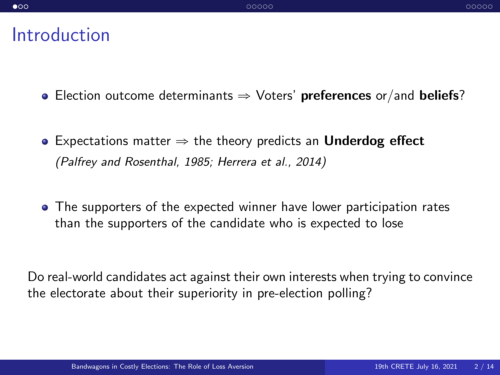#### <span id="page-1-0"></span>Introduction

- **Election outcome determinants**  $\Rightarrow$  **Voters' preferences or/and beliefs?**
- Expectations matter  $\Rightarrow$  the theory predicts an Underdog effect (Palfrey and Rosenthal, 1985; Herrera et al., 2014)
- The supporters of the expected winner have lower participation rates than the supporters of the candidate who is expected to lose

Do real-world candidates act against their own interests when trying to convince the electorate about their superiority in pre-election polling?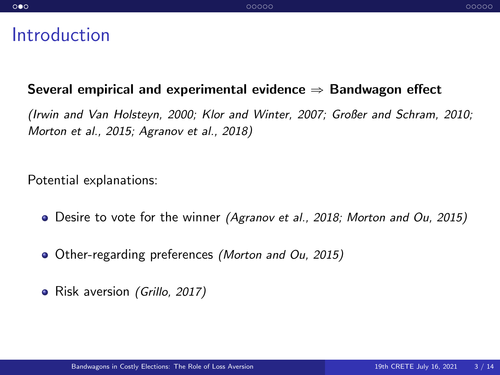#### Introduction

#### Several empirical and experimental evidence  $\Rightarrow$  Bandwagon effect

(Irwin and Van Holsteyn, 2000; Klor and Winter, 2007; Großer and Schram, 2010; Morton et al., 2015; Agranov et al., 2018)

Potential explanations:

- Desire to vote for the winner (Agranov et al., 2018; Morton and Ou, 2015)
- Other-regarding preferences (Morton and Ou, 2015)
- Risk aversion (Grillo, 2017)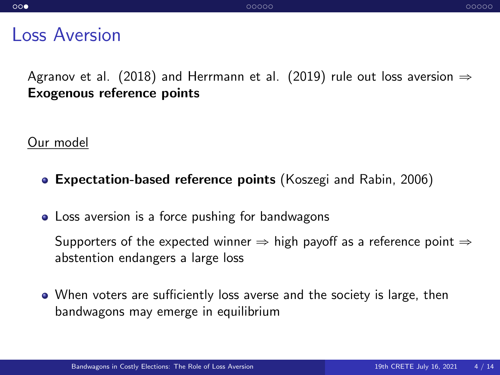#### Loss Aversion

Agranov et al. (2018) and Herrmann et al. (2019) rule out loss aversion  $\Rightarrow$ Exogenous reference points

Our model

- Expectation-based reference points (Koszegi and Rabin, 2006)
- Loss aversion is a force pushing for bandwagons

Supporters of the expected winner  $\Rightarrow$  high payoff as a reference point  $\Rightarrow$ abstention endangers a large loss

When voters are sufficiently loss averse and the society is large, then bandwagons may emerge in equilibrium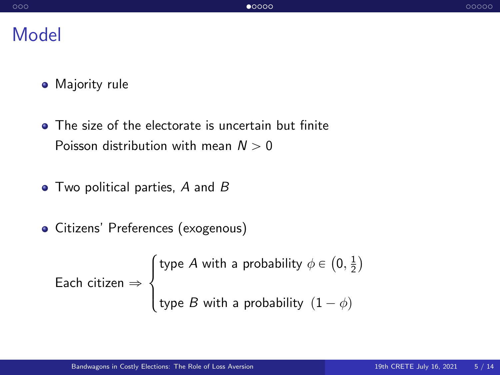### <span id="page-4-0"></span>Model

- Majority rule
- The size of the electorate is uncertain but finite Poisson distribution with mean  $N > 0$
- $\bullet$  Two political parties, A and B
- Citizens' Preferences (exogenous)

Each citizen  $\Rightarrow$  $\sqrt{ }$  $\left( \right)$ type  $A$  with a probability  $\phi \in$  $\mathbf{r}$  $0, \frac{1}{2}$ ˘ type  $B$  with a probability  $(1 - \phi)$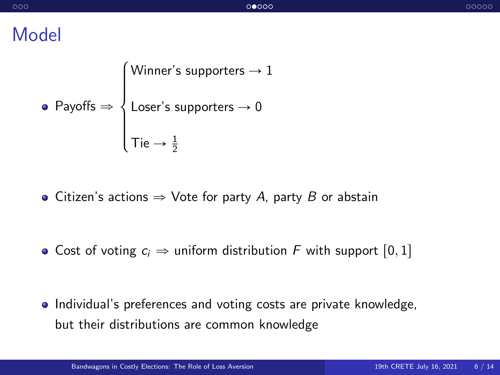### Model

\n- Payoffs 
$$
\Rightarrow
$$
  $\left\{\n \begin{aligned}\n &\text{Winner's supports} \rightarrow 1 \\
&\text{Loser's supports} \rightarrow 0 \\
&\text{Lie} \rightarrow \frac{1}{2}\n \end{aligned}\n \right.$ \n
\n

- Citizen's actions  $\Rightarrow$  Vote for party A, party B or abstain
- Cost of voting  $c_i \Rightarrow$  uniform distribution F with support [0, 1]

• Individual's preferences and voting costs are private knowledge, but their distributions are common knowledge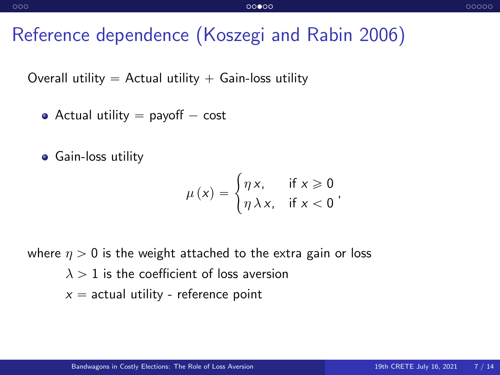### Reference dependence (Koszegi and Rabin 2006)

Overall utility  $=$  Actual utility  $+$  Gain-loss utility

- Actual utility  $=$  payoff  $-$  cost
- **•** Gain-loss utility

$$
\mu(x) = \begin{cases} \eta x, & \text{if } x \geq 0 \\ \eta \lambda x, & \text{if } x < 0 \end{cases}
$$

where  $\eta > 0$  is the weight attached to the extra gain or loss  $\lambda > 1$  is the coefficient of loss aversion  $x =$  actual utility - reference point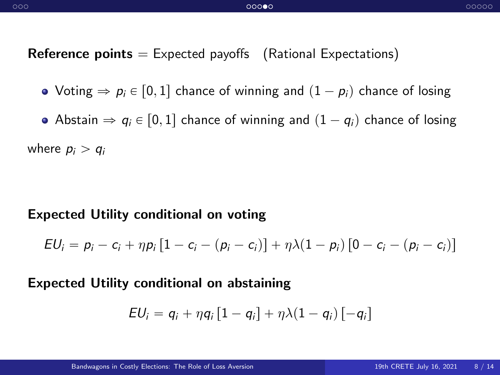**Reference points**  $=$  Expected payoffs (Rational Expectations)

- $\bullet$  Voting  $\Rightarrow$   $p_i \in [0, 1]$  chance of winning and  $(1 p_i)$  chance of losing
- Abstain  $\Rightarrow q_i \in [0, 1]$  chance of winning and  $(1 q_i)$  chance of losing

where  $p_i > q_i$ 

#### Expected Utility conditional on voting

$$
EU_i = p_i - c_i + \eta p_i [1 - c_i - (p_i - c_i)] + \eta \lambda (1 - p_i) [0 - c_i - (p_i - c_i)]
$$

#### Expected Utility conditional on abstaining

$$
EU_i = q_i + \eta q_i [1 - q_i] + \eta \lambda (1 - q_i) [-q_i]
$$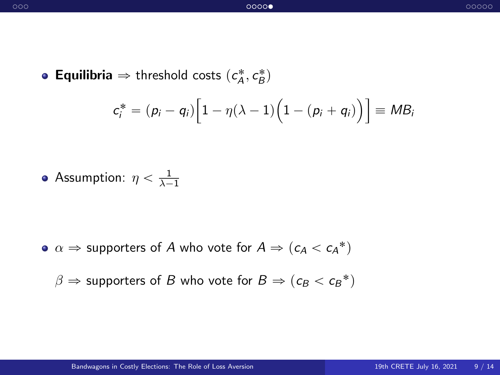**Equilibria**  $\Rightarrow$  threshold costs  $(c_A^*, c_B^*)$ 

$$
c_i^* = (p_i - q_i) \Big[ 1 - \eta(\lambda - 1) \Big( 1 - (p_i + q_i) \Big) \Big] \equiv MB_i
$$

Assumption:  $\eta < \frac{1}{\lambda - 1}$ 

 $\alpha \Rightarrow$  supporters of  $A$  who vote for  $A \Rightarrow (c_A < c_A^*)$ 

 $\beta \Rightarrow$  supporters of  $B$  who vote for  $B \Rightarrow (c_B < c_B{}^*)$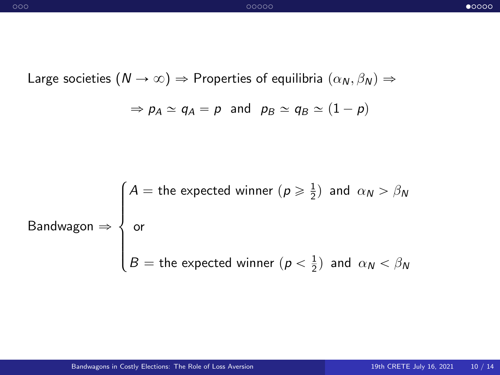<span id="page-9-0"></span>Large societies  $(N \to \infty) \Rightarrow$  Properties of equilibria  $(\alpha_N, \beta_N) \Rightarrow$ 

$$
\Rightarrow
$$
  $p_A \simeq q_A = p$  and  $p_B \simeq q_B \simeq (1 - p)$ 

$$
\text{Bandwagon} \Rightarrow \begin{cases} A = \text{the expected winner } (p \geq \frac{1}{2}) \text{ and } \alpha_N > \beta_N \\ \text{or} \\ B = \text{the expected winner } (p < \frac{1}{2}) \text{ and } \alpha_N < \beta_N \end{cases}
$$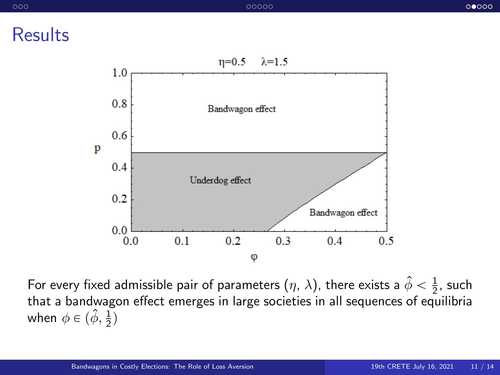**Results** 



For every fixed admissible pair of parameters  $(\eta,\,\lambda)$ , there exists a  $\hat{\phi}<\frac{1}{2}$ , such that a bandwagon effect emerges in large societies in all sequences of equilibria when  $\phi \in (\hat{\phi}, \frac{1}{2})$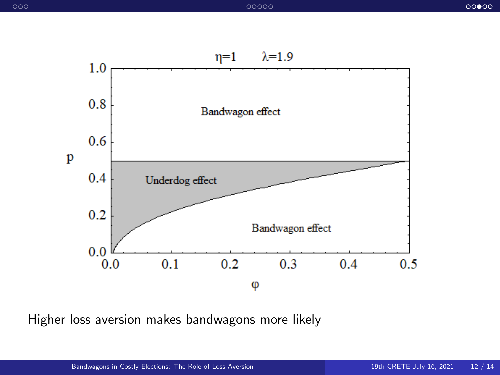

Higher loss aversion makes bandwagons more likely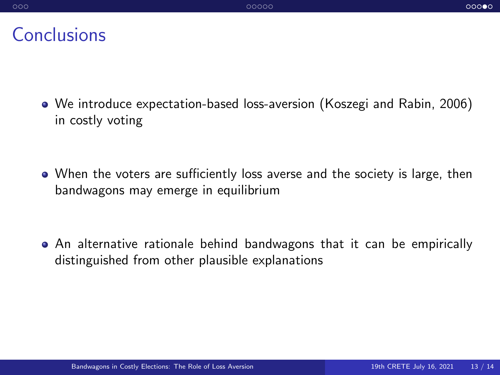#### **Conclusions**

- We introduce expectation-based loss-aversion (Koszegi and Rabin, 2006) in costly voting
- When the voters are sufficiently loss averse and the society is large, then bandwagons may emerge in equilibrium

An alternative rationale behind bandwagons that it can be empirically distinguished from other plausible explanations